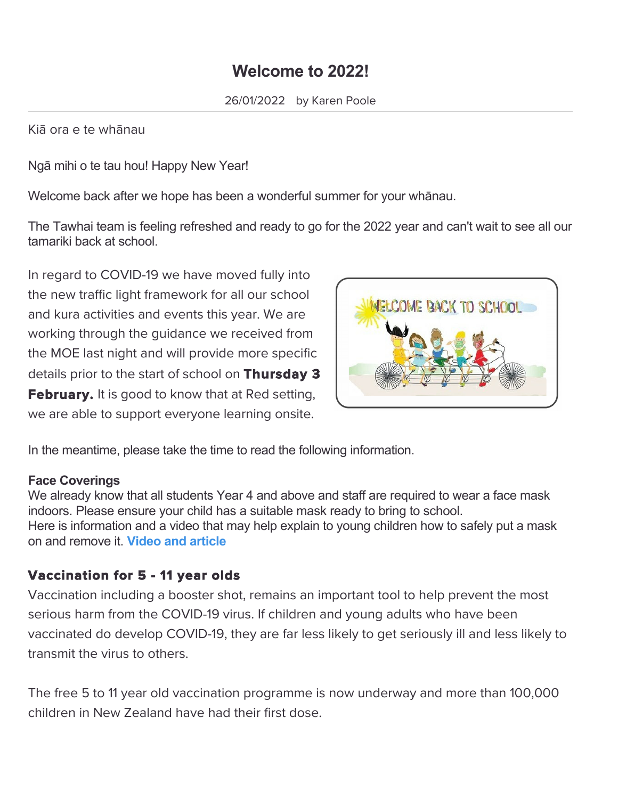# **Welcome to 2022!**

Kiā ora e te whānau

Ngā mihi o te tau hou! Happy New Year!

Welcome back after we hope has been a wonderful summer for your whānau.

The Tawhai team is feeling refreshed and ready to go for the 2022 year and can't wait to see all our tamariki back at school.

In regard to COVID-19 we have moved fully into the new traffic light framework for all our school and kura activities and events this year. We are working through the guidance we received from the MOE last night and will provide more specific details prior to the start of school on Thursday 3 **February.** It is good to know that at Red setting, we are able to support everyone learning onsite.



In the meantime, please take the time to read the following information.

#### **Face Coverings**

We already know that all students Year 4 and above and staff are required to wear a face mask indoors. Please ensure your child has a suitable mask ready to bring to school. Here is information and a video that may help explain to young children how to safely put a mask on and remove it. **[Video and article](https://www.stuff.co.nz/life-style/wellbeing/parenting/127577109/covid19-how-kids-wear-their-masks-at-school-is-more-important-than-mask-itself-say-doctors?fbclid=IwAR3dSxsL_fg2Ld0DhfFsRACuO2hYamBrEYjtt3HBJx9wR_Zr-trt_nYrpbQ)**

### Vaccination for 5 - 11 year olds

Vaccination including a booster shot, remains an important tool to help prevent the most serious harm from the COVID-19 virus. If children and young adults who have been vaccinated do develop COVID-19, they are far less likely to get seriously ill and less likely to transmit the virus to others.

The free 5 to 11 year old vaccination programme is now underway and more than 100,000 children in New Zealand have had their first dose.